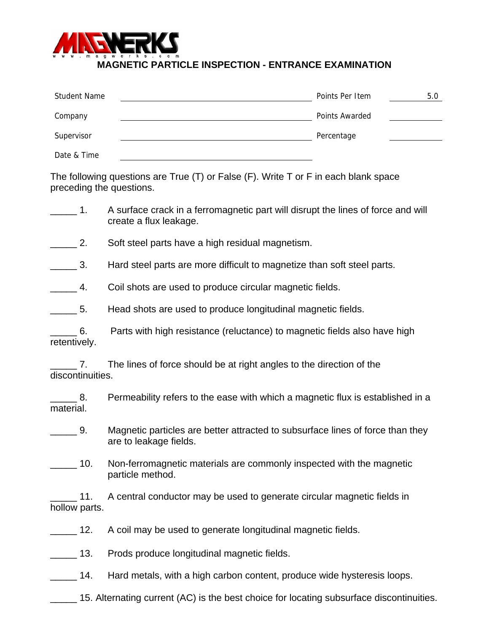

## **MAGNETIC PARTICLE INSPECTION - ENTRANCE EXAMINATION**

| Student Name | Points Per Item | 5.0 |
|--------------|-----------------|-----|
| Company      | Points Awarded  |     |
| Supervisor   | Percentage      |     |
| Date & Time  |                 |     |

The following questions are True (T) or False (F). Write T or F in each blank space preceding the questions.

- 1. A surface crack in a ferromagnetic part will disrupt the lines of force and will create a flux leakage.
- **2.** Soft steel parts have a high residual magnetism.

**1** S. Hard steel parts are more difficult to magnetize than soft steel parts.

**EXECUTE:** 4. Coil shots are used to produce circular magnetic fields.

5. Head shots are used to produce longitudinal magnetic fields.

\_\_\_\_\_ 6. Parts with high resistance (reluctance) to magnetic fields also have high retentively.

\_\_\_\_\_ 7. The lines of force should be at right angles to the direction of the discontinuities.

\_\_\_\_\_ 8. Permeability refers to the ease with which a magnetic flux is established in a material.

**2008**. Magnetic particles are better attracted to subsurface lines of force than they are to leakage fields.

10. Non-ferromagnetic materials are commonly inspected with the magnetic particle method.

11. A central conductor may be used to generate circular magnetic fields in hollow parts.

12. A coil may be used to generate longitudinal magnetic fields.

13. Prods produce longitudinal magnetic fields.

14. Hard metals, with a high carbon content, produce wide hysteresis loops.

15. Alternating current (AC) is the best choice for locating subsurface discontinuities.